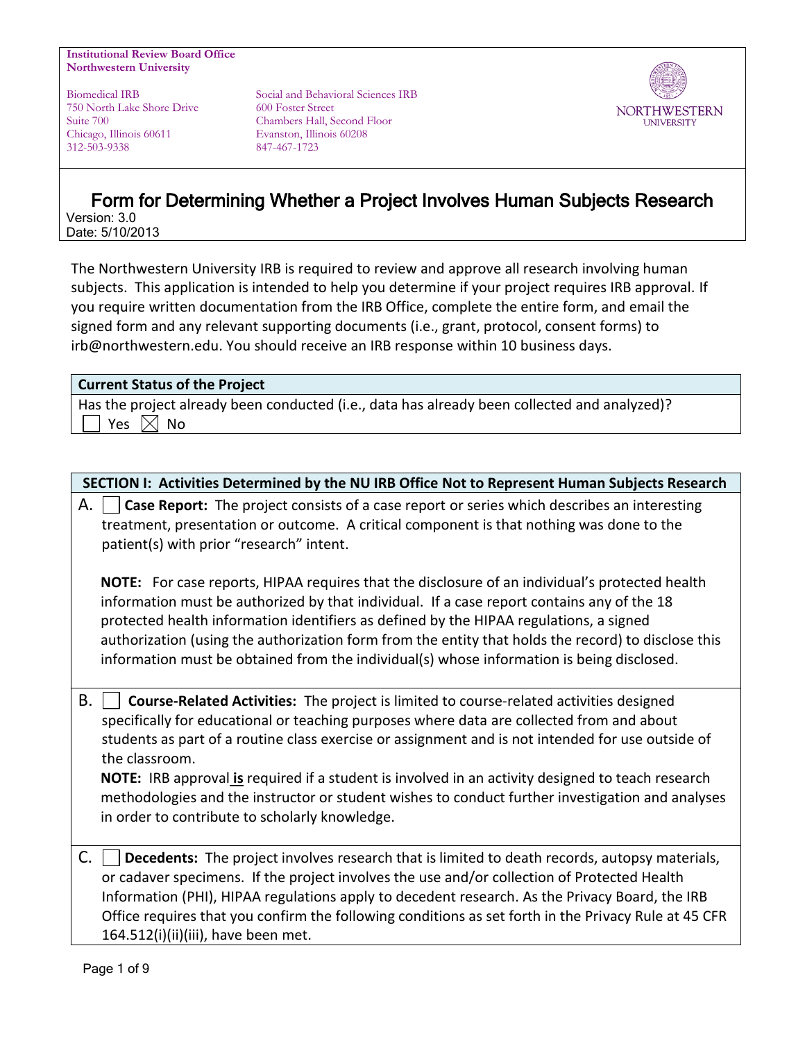#### **Institutional Review Board Office Northwestern University**

750 North Lake Shore Drive 600 Foster Street Chicago, Illinois 60611 Evanston, Illinois 60208 312-503-9338 847-467-1723

Biomedical IRB Social and Behavioral Sciences IRB Suite 700 Chambers Hall, Second Floor



# Form for Determining Whether a Project Involves Human Subjects Research Version: 3.0

Date: 5/10/2013

The Northwestern University IRB is required to review and approve all research involving human subjects. This application is intended to help you determine if your project requires IRB approval. If you require written documentation from the IRB Office, complete the entire form, and email the signed form and any relevant supporting documents (i.e., grant, protocol, consent forms) to irb@northwestern.edu. You should receive an IRB response within 10 business days.

# **Current Status of the Project**

Has the project already been conducted (i.e., data has already been collected and analyzed)? Yes  $\boxtimes$  No

**SECTION I: Activities Determined by the NU IRB Office Not to Represent Human Subjects Research**

| Case Report: The project consists of a case report or series which describes an interesting<br>А.<br>treatment, presentation or outcome. A critical component is that nothing was done to the<br>patient(s) with prior "research" intent.                                                                                                                                                                                                                                                                                                                                    |  |  |  |  |
|------------------------------------------------------------------------------------------------------------------------------------------------------------------------------------------------------------------------------------------------------------------------------------------------------------------------------------------------------------------------------------------------------------------------------------------------------------------------------------------------------------------------------------------------------------------------------|--|--|--|--|
| NOTE: For case reports, HIPAA requires that the disclosure of an individual's protected health<br>information must be authorized by that individual. If a case report contains any of the 18<br>protected health information identifiers as defined by the HIPAA regulations, a signed<br>authorization (using the authorization form from the entity that holds the record) to disclose this<br>information must be obtained from the individual(s) whose information is being disclosed.                                                                                   |  |  |  |  |
| В.<br>Course-Related Activities: The project is limited to course-related activities designed<br>specifically for educational or teaching purposes where data are collected from and about<br>students as part of a routine class exercise or assignment and is not intended for use outside of<br>the classroom.<br>NOTE: IRB approval is required if a student is involved in an activity designed to teach research<br>methodologies and the instructor or student wishes to conduct further investigation and analyses<br>in order to contribute to scholarly knowledge. |  |  |  |  |
| C.<br>Decedents: The project involves research that is limited to death records, autopsy materials,<br>or cadaver specimens. If the project involves the use and/or collection of Protected Health<br>Information (PHI), HIPAA regulations apply to decedent research. As the Privacy Board, the IRB<br>Office requires that you confirm the following conditions as set forth in the Privacy Rule at 45 CFR<br>164.512(i)(ii)(iii), have been met.                                                                                                                          |  |  |  |  |
| Page 1 of 9                                                                                                                                                                                                                                                                                                                                                                                                                                                                                                                                                                  |  |  |  |  |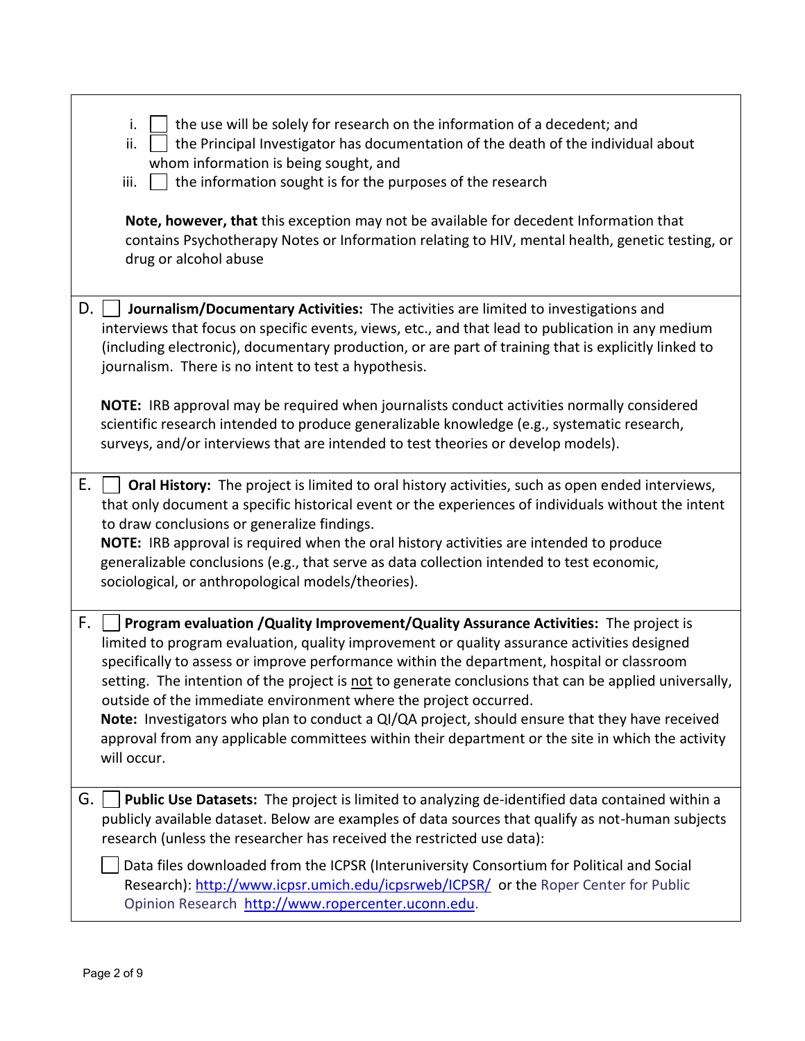|    | the use will be solely for research on the information of a decedent; and<br>i.<br>the Principal Investigator has documentation of the death of the individual about<br>ii.<br>whom information is being sought, and<br>iii.<br>the information sought is for the purposes of the research<br>Note, however, that this exception may not be available for decedent Information that<br>contains Psychotherapy Notes or Information relating to HIV, mental health, genetic testing, or<br>drug or alcohol abuse                                                                                                                                                                        |
|----|----------------------------------------------------------------------------------------------------------------------------------------------------------------------------------------------------------------------------------------------------------------------------------------------------------------------------------------------------------------------------------------------------------------------------------------------------------------------------------------------------------------------------------------------------------------------------------------------------------------------------------------------------------------------------------------|
| D. | Journalism/Documentary Activities: The activities are limited to investigations and<br>interviews that focus on specific events, views, etc., and that lead to publication in any medium<br>(including electronic), documentary production, or are part of training that is explicitly linked to<br>journalism. There is no intent to test a hypothesis.<br>NOTE: IRB approval may be required when journalists conduct activities normally considered<br>scientific research intended to produce generalizable knowledge (e.g., systematic research,<br>surveys, and/or interviews that are intended to test theories or develop models).                                             |
| Е. | Oral History: The project is limited to oral history activities, such as open ended interviews,<br>that only document a specific historical event or the experiences of individuals without the intent<br>to draw conclusions or generalize findings.<br>NOTE: IRB approval is required when the oral history activities are intended to produce<br>generalizable conclusions (e.g., that serve as data collection intended to test economic,<br>sociological, or anthropological models/theories).                                                                                                                                                                                    |
| F. | Program evaluation / Quality Improvement/ Quality Assurance Activities: The project is<br>limited to program evaluation, quality improvement or quality assurance activities designed<br>specifically to assess or improve performance within the department, hospital or classroom<br>setting. The intention of the project is not to generate conclusions that can be applied universally,<br>outside of the immediate environment where the project occurred.<br>Note: Investigators who plan to conduct a QI/QA project, should ensure that they have received<br>approval from any applicable committees within their department or the site in which the activity<br>will occur. |
| G. | Public Use Datasets: The project is limited to analyzing de-identified data contained within a<br>publicly available dataset. Below are examples of data sources that qualify as not-human subjects<br>research (unless the researcher has received the restricted use data):<br>Data files downloaded from the ICPSR (Interuniversity Consortium for Political and Social<br>Research): http://www.icpsr.umich.edu/icpsrweb/ICPSR/ or the Roper Center for Public                                                                                                                                                                                                                     |
|    | Opinion Research http://www.ropercenter.uconn.edu.                                                                                                                                                                                                                                                                                                                                                                                                                                                                                                                                                                                                                                     |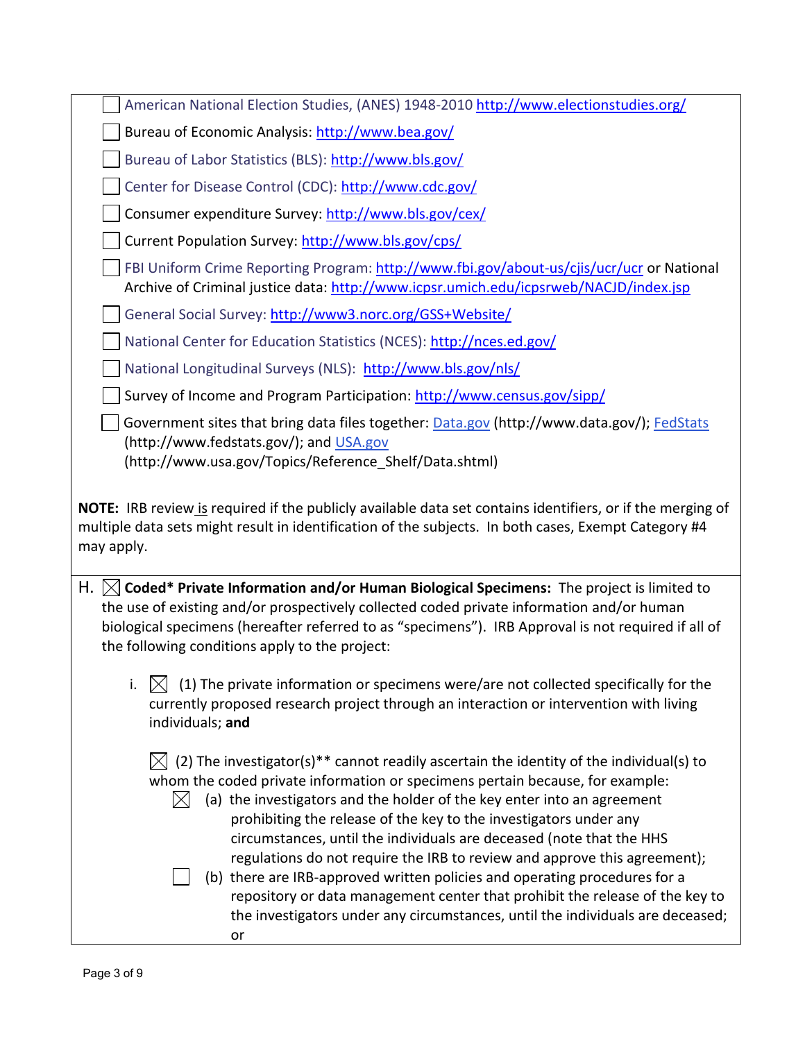| Bureau of Economic Analysis: http://www.bea.gov/                                                                                                                                                                                                                                                                                                             |  |  |
|--------------------------------------------------------------------------------------------------------------------------------------------------------------------------------------------------------------------------------------------------------------------------------------------------------------------------------------------------------------|--|--|
|                                                                                                                                                                                                                                                                                                                                                              |  |  |
| Bureau of Labor Statistics (BLS): http://www.bls.gov/                                                                                                                                                                                                                                                                                                        |  |  |
| Center for Disease Control (CDC): http://www.cdc.gov/                                                                                                                                                                                                                                                                                                        |  |  |
| Consumer expenditure Survey: http://www.bls.gov/cex/                                                                                                                                                                                                                                                                                                         |  |  |
| Current Population Survey: http://www.bls.gov/cps/                                                                                                                                                                                                                                                                                                           |  |  |
| FBI Uniform Crime Reporting Program: http://www.fbi.gov/about-us/cjis/ucr/ucr or National<br>Archive of Criminal justice data: http://www.icpsr.umich.edu/icpsrweb/NACJD/index.jsp                                                                                                                                                                           |  |  |
| General Social Survey: http://www3.norc.org/GSS+Website/                                                                                                                                                                                                                                                                                                     |  |  |
| National Center for Education Statistics (NCES): http://nces.ed.gov/                                                                                                                                                                                                                                                                                         |  |  |
| National Longitudinal Surveys (NLS): http://www.bls.gov/nls/                                                                                                                                                                                                                                                                                                 |  |  |
| Survey of Income and Program Participation: http://www.census.gov/sipp/                                                                                                                                                                                                                                                                                      |  |  |
| Government sites that bring data files together: Data.gov (http://www.data.gov/); FedStats<br>(http://www.fedstats.gov/); and USA.gov<br>(http://www.usa.gov/Topics/Reference Shelf/Data.shtml)                                                                                                                                                              |  |  |
| NOTE: IRB review is required if the publicly available data set contains identifiers, or if the merging of<br>multiple data sets might result in identification of the subjects. In both cases, Exempt Category #4<br>may apply.                                                                                                                             |  |  |
|                                                                                                                                                                                                                                                                                                                                                              |  |  |
| H. $\boxtimes$ Coded* Private Information and/or Human Biological Specimens: The project is limited to<br>the use of existing and/or prospectively collected coded private information and/or human<br>biological specimens (hereafter referred to as "specimens"). IRB Approval is not required if all of<br>the following conditions apply to the project: |  |  |
| (1) The private information or specimens were/are not collected specifically for the<br>currently proposed research project through an interaction or intervention with living<br>individuals; and                                                                                                                                                           |  |  |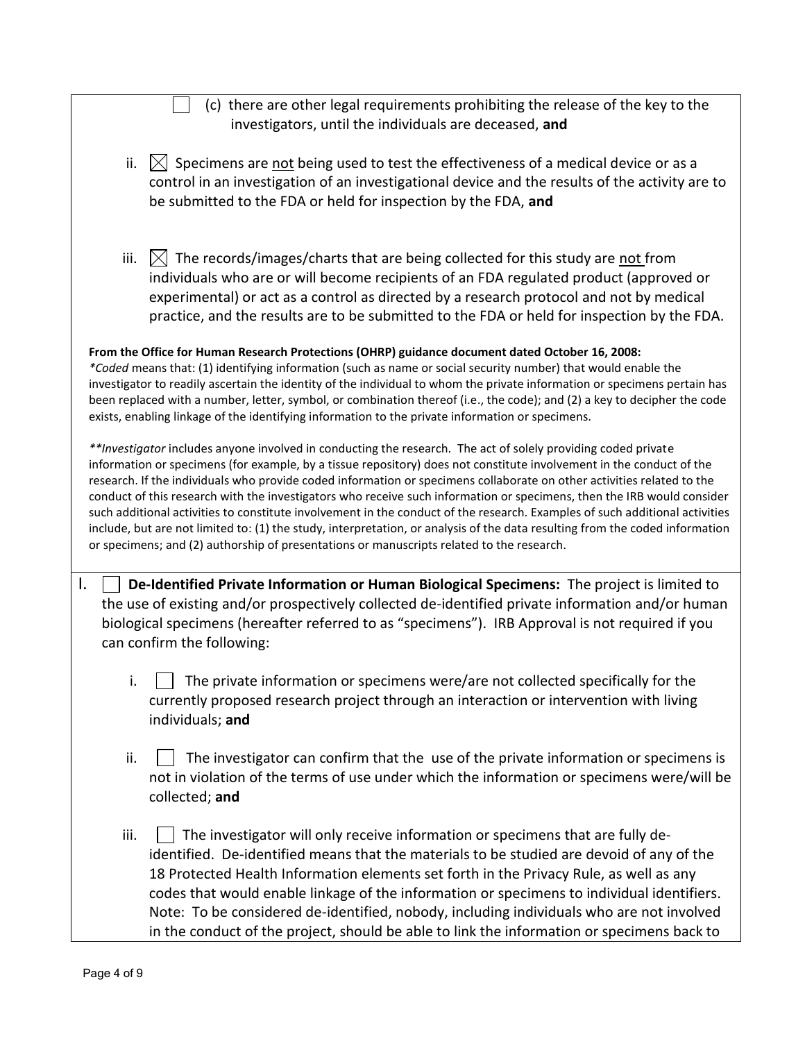| (c) there are other legal requirements prohibiting the release of the key to the                                             |  |  |  |
|------------------------------------------------------------------------------------------------------------------------------|--|--|--|
| investigators, until the individuals are deceased, and                                                                       |  |  |  |
|                                                                                                                              |  |  |  |
| $\boxtimes$ Specimens are not being used to test the effectiveness of a medical device or as a<br>ii.                        |  |  |  |
| control in an investigation of an investigational device and the results of the activity are to                              |  |  |  |
| be submitted to the FDA or held for inspection by the FDA, and                                                               |  |  |  |
|                                                                                                                              |  |  |  |
|                                                                                                                              |  |  |  |
| iii.<br>$[\times]$ The records/images/charts that are being collected for this study are not from                            |  |  |  |
| individuals who are or will become recipients of an FDA regulated product (approved or                                       |  |  |  |
| experimental) or act as a control as directed by a research protocol and not by medical                                      |  |  |  |
| practice, and the results are to be submitted to the FDA or held for inspection by the FDA.                                  |  |  |  |
|                                                                                                                              |  |  |  |
| From the Office for Human Research Protections (OHRP) guidance document dated October 16, 2008:                              |  |  |  |
| *Coded means that: (1) identifying information (such as name or social security number) that would enable the                |  |  |  |
| investigator to readily ascertain the identity of the individual to whom the private information or specimens pertain has    |  |  |  |
| been replaced with a number, letter, symbol, or combination thereof (i.e., the code); and (2) a key to decipher the code     |  |  |  |
| exists, enabling linkage of the identifying information to the private information or specimens.                             |  |  |  |
| **Investigator includes anyone involved in conducting the research. The act of solely providing coded private                |  |  |  |
| information or specimens (for example, by a tissue repository) does not constitute involvement in the conduct of the         |  |  |  |
| research. If the individuals who provide coded information or specimens collaborate on other activities related to the       |  |  |  |
| conduct of this research with the investigators who receive such information or specimens, then the IRB would consider       |  |  |  |
| such additional activities to constitute involvement in the conduct of the research. Examples of such additional activities  |  |  |  |
| include, but are not limited to: (1) the study, interpretation, or analysis of the data resulting from the coded information |  |  |  |
| or specimens; and (2) authorship of presentations or manuscripts related to the research.                                    |  |  |  |
|                                                                                                                              |  |  |  |
| Ι.<br>De-Identified Private Information or Human Biological Specimens: The project is limited to                             |  |  |  |
| the use of existing and/or prospectively collected de-identified private information and/or human                            |  |  |  |
| biological specimens (hereafter referred to as "specimens"). IRB Approval is not required if you                             |  |  |  |
| can confirm the following:                                                                                                   |  |  |  |
|                                                                                                                              |  |  |  |
| The private information or specimens were/are not collected specifically for the                                             |  |  |  |
| currently proposed research project through an interaction or intervention with living                                       |  |  |  |
| individuals; and                                                                                                             |  |  |  |
|                                                                                                                              |  |  |  |
| The investigator can confirm that the use of the private information or specimens is<br>ii.                                  |  |  |  |
| not in violation of the terms of use under which the information or specimens were/will be                                   |  |  |  |
| collected; and                                                                                                               |  |  |  |
|                                                                                                                              |  |  |  |
| iii.                                                                                                                         |  |  |  |
| The investigator will only receive information or specimens that are fully de-                                               |  |  |  |
| identified. De-identified means that the materials to be studied are devoid of any of the                                    |  |  |  |
| 18 Protected Health Information elements set forth in the Privacy Rule, as well as any                                       |  |  |  |
| codes that would enable linkage of the information or specimens to individual identifiers.                                   |  |  |  |
| Note: To be considered de-identified, nobody, including individuals who are not involved                                     |  |  |  |
| in the conduct of the project, should be able to link the information or specimens back to                                   |  |  |  |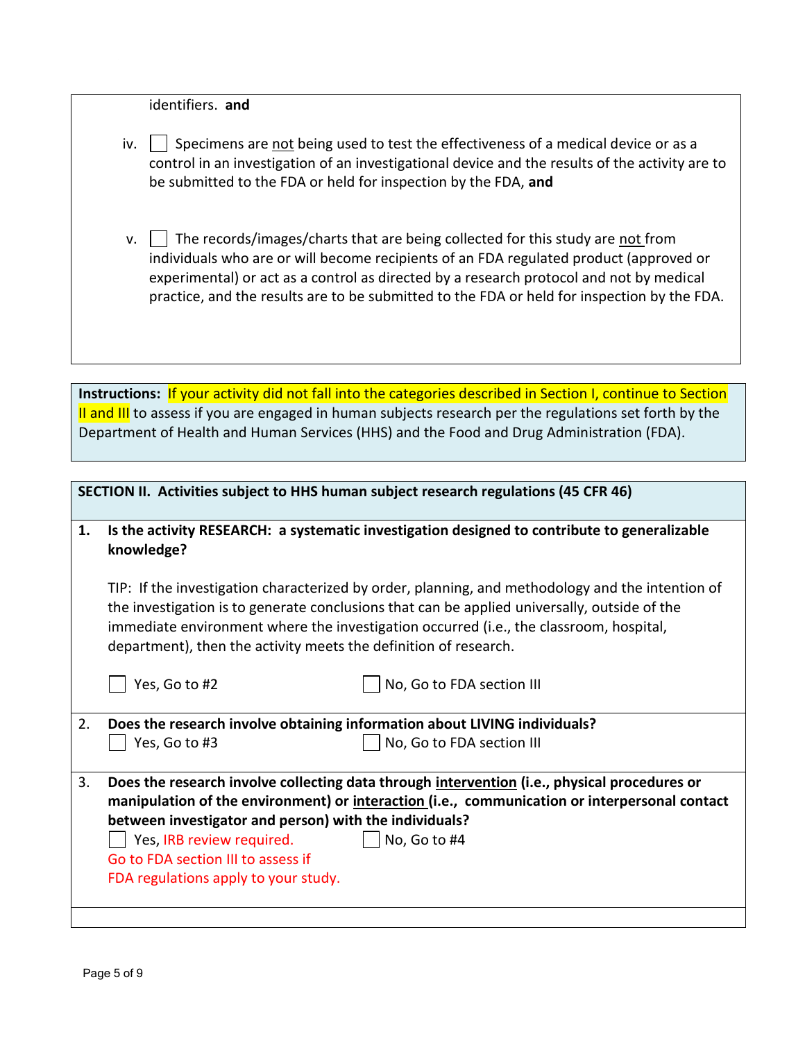| identifiers. and |  |
|------------------|--|
|------------------|--|

| iv. $\Box$ Specimens are not being used to test the effectiveness of a medical device or as a   |
|-------------------------------------------------------------------------------------------------|
| control in an investigation of an investigational device and the results of the activity are to |
| be submitted to the FDA or held for inspection by the FDA, and                                  |

v.  $\Box$  The records/images/charts that are being collected for this study are not from individuals who are or will become recipients of an FDA regulated product (approved or experimental) or act as a control as directed by a research protocol and not by medical practice, and the results are to be submitted to the FDA or held for inspection by the FDA.

Instructions: If your activity did not fall into the categories described in Section I, continue to Section II and III to assess if you are engaged in human subjects research per the regulations set forth by the Department of Health and Human Services (HHS) and the Food and Drug Administration (FDA).

| 1.                                                                                                                                                                                                                                                                                                                                                             | Is the activity RESEARCH: a systematic investigation designed to contribute to generalizable<br>knowledge? |                                                                                                                                                                                               |  |
|----------------------------------------------------------------------------------------------------------------------------------------------------------------------------------------------------------------------------------------------------------------------------------------------------------------------------------------------------------------|------------------------------------------------------------------------------------------------------------|-----------------------------------------------------------------------------------------------------------------------------------------------------------------------------------------------|--|
| TIP: If the investigation characterized by order, planning, and methodology and the intention of<br>the investigation is to generate conclusions that can be applied universally, outside of the<br>immediate environment where the investigation occurred (i.e., the classroom, hospital,<br>department), then the activity meets the definition of research. |                                                                                                            |                                                                                                                                                                                               |  |
|                                                                                                                                                                                                                                                                                                                                                                | Yes, Go to #2                                                                                              | No, Go to FDA section III                                                                                                                                                                     |  |
| 2.                                                                                                                                                                                                                                                                                                                                                             |                                                                                                            | Does the research involve obtaining information about LIVING individuals?                                                                                                                     |  |
|                                                                                                                                                                                                                                                                                                                                                                | Yes, Go to #3                                                                                              | No, Go to FDA section III                                                                                                                                                                     |  |
| 3.                                                                                                                                                                                                                                                                                                                                                             | between investigator and person) with the individuals?                                                     | Does the research involve collecting data through intervention (i.e., physical procedures or<br>manipulation of the environment) or interaction (i.e., communication or interpersonal contact |  |
|                                                                                                                                                                                                                                                                                                                                                                | Yes, IRB review required.                                                                                  | No, Go to #4                                                                                                                                                                                  |  |
|                                                                                                                                                                                                                                                                                                                                                                | Go to FDA section III to assess if                                                                         |                                                                                                                                                                                               |  |
|                                                                                                                                                                                                                                                                                                                                                                | FDA regulations apply to your study.                                                                       |                                                                                                                                                                                               |  |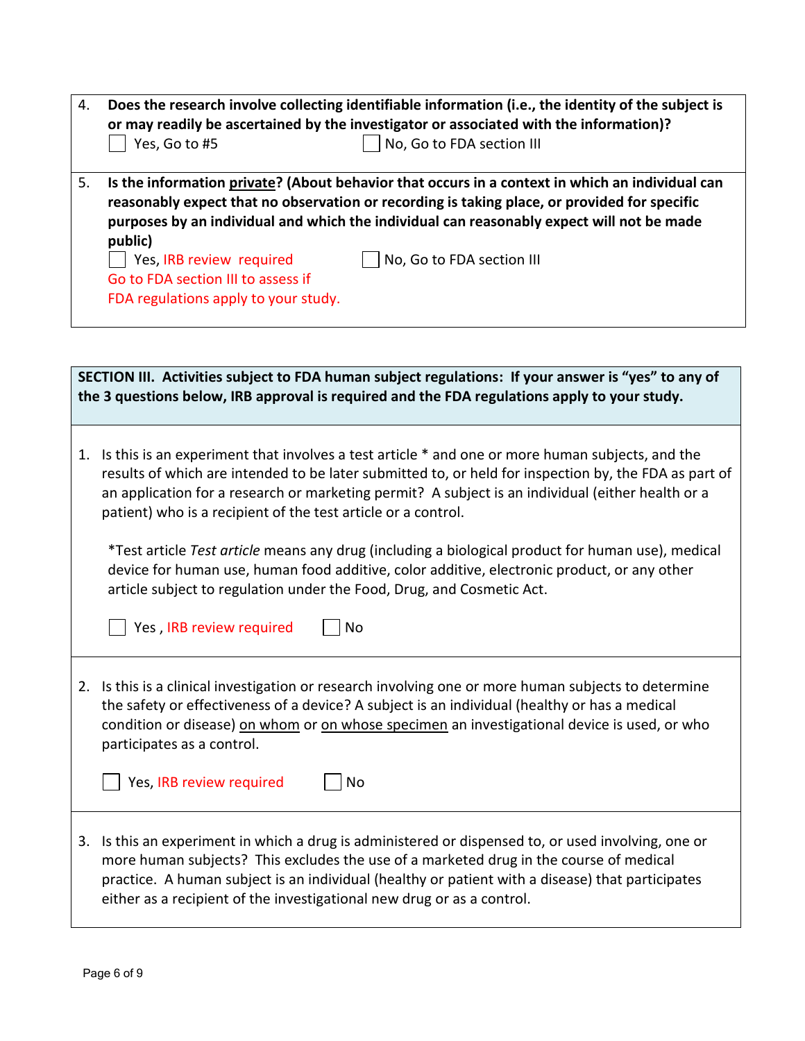| 4.                                                                                                                                                                                                                                                                                                                                                                                                                                                                                                                                                                                                                                                                | Does the research involve collecting identifiable information (i.e., the identity of the subject is<br>or may readily be ascertained by the investigator or associated with the information)?<br>Yes, Go to #5<br>No, Go to FDA section III                                                                                                                              |  |
|-------------------------------------------------------------------------------------------------------------------------------------------------------------------------------------------------------------------------------------------------------------------------------------------------------------------------------------------------------------------------------------------------------------------------------------------------------------------------------------------------------------------------------------------------------------------------------------------------------------------------------------------------------------------|--------------------------------------------------------------------------------------------------------------------------------------------------------------------------------------------------------------------------------------------------------------------------------------------------------------------------------------------------------------------------|--|
| Is the information private? (About behavior that occurs in a context in which an individual can<br>5.<br>reasonably expect that no observation or recording is taking place, or provided for specific<br>purposes by an individual and which the individual can reasonably expect will not be made<br>public)                                                                                                                                                                                                                                                                                                                                                     |                                                                                                                                                                                                                                                                                                                                                                          |  |
| Yes, IRB review required<br>No, Go to FDA section III<br>Go to FDA section III to assess if<br>FDA regulations apply to your study.                                                                                                                                                                                                                                                                                                                                                                                                                                                                                                                               |                                                                                                                                                                                                                                                                                                                                                                          |  |
|                                                                                                                                                                                                                                                                                                                                                                                                                                                                                                                                                                                                                                                                   | SECTION III. Activities subject to FDA human subject regulations: If your answer is "yes" to any of                                                                                                                                                                                                                                                                      |  |
|                                                                                                                                                                                                                                                                                                                                                                                                                                                                                                                                                                                                                                                                   | the 3 questions below, IRB approval is required and the FDA regulations apply to your study.                                                                                                                                                                                                                                                                             |  |
| Is this is an experiment that involves a test article * and one or more human subjects, and the<br>1.<br>results of which are intended to be later submitted to, or held for inspection by, the FDA as part of<br>an application for a research or marketing permit? A subject is an individual (either health or a<br>patient) who is a recipient of the test article or a control.<br>*Test article Test article means any drug (including a biological product for human use), medical<br>device for human use, human food additive, color additive, electronic product, or any other<br>article subject to regulation under the Food, Drug, and Cosmetic Act. |                                                                                                                                                                                                                                                                                                                                                                          |  |
|                                                                                                                                                                                                                                                                                                                                                                                                                                                                                                                                                                                                                                                                   |                                                                                                                                                                                                                                                                                                                                                                          |  |
| 2.                                                                                                                                                                                                                                                                                                                                                                                                                                                                                                                                                                                                                                                                | Is this is a clinical investigation or research involving one or more human subjects to determine<br>the safety or effectiveness of a device? A subject is an individual (healthy or has a medical<br>condition or disease) on whom or on whose specimen an investigational device is used, or who<br>participates as a control.                                         |  |
|                                                                                                                                                                                                                                                                                                                                                                                                                                                                                                                                                                                                                                                                   | Yes, IRB review required<br>No                                                                                                                                                                                                                                                                                                                                           |  |
| 3.                                                                                                                                                                                                                                                                                                                                                                                                                                                                                                                                                                                                                                                                | Is this an experiment in which a drug is administered or dispensed to, or used involving, one or<br>more human subjects? This excludes the use of a marketed drug in the course of medical<br>practice. A human subject is an individual (healthy or patient with a disease) that participates<br>either as a recipient of the investigational new drug or as a control. |  |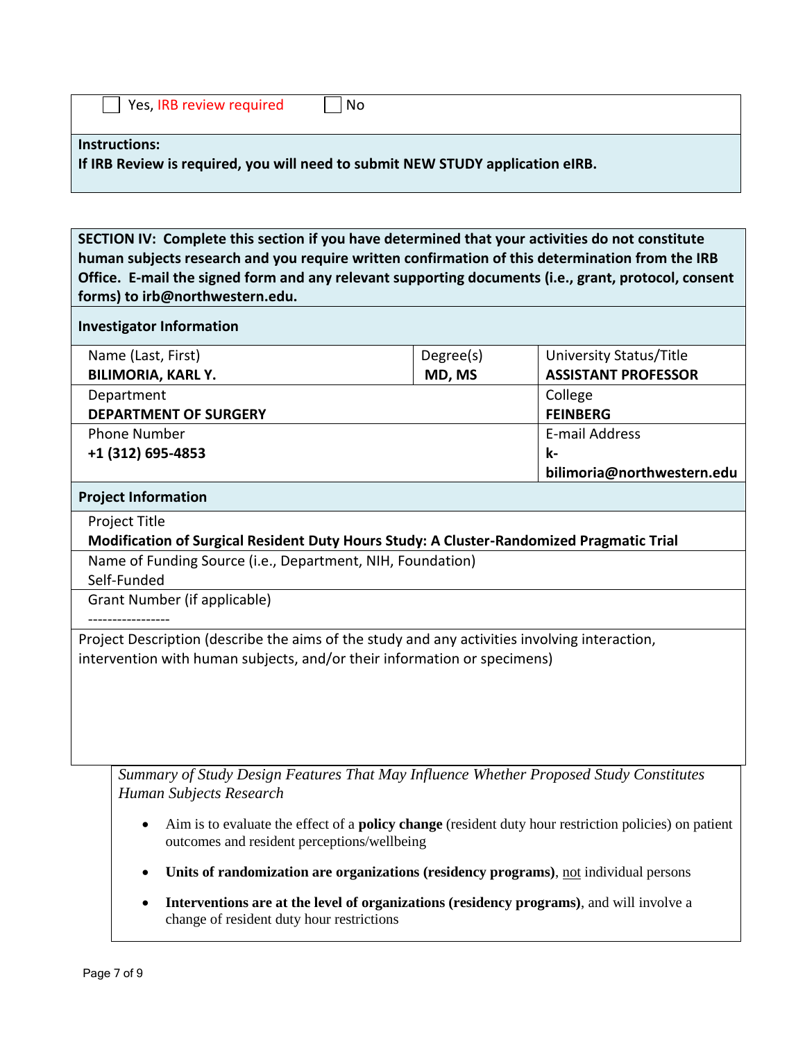| Yes, IRB review required | l No                                                                           |
|--------------------------|--------------------------------------------------------------------------------|
| <b>Instructions:</b>     | If IRB Review is required, you will need to submit NEW STUDY application eIRB. |

**SECTION IV: Complete this section if you have determined that your activities do not constitute human subjects research and you require written confirmation of this determination from the IRB Office. E-mail the signed form and any relevant supporting documents (i.e., grant, protocol, consent forms) to irb@northwestern.edu.**

### **Investigator Information**

|                              | Name (Last, First)        | Degree(s) | University Status/Title    |
|------------------------------|---------------------------|-----------|----------------------------|
|                              | <b>BILIMORIA, KARL Y.</b> | MD, MS    | <b>ASSISTANT PROFESSOR</b> |
|                              | Department                | College   |                            |
| <b>DEPARTMENT OF SURGERY</b> |                           |           | <b>FEINBERG</b>            |
|                              | <b>Phone Number</b>       |           | E-mail Address             |
|                              | +1 (312) 695-4853         |           | k-                         |
|                              |                           |           | bilimoria@northwestern.edu |
|                              |                           |           |                            |

#### **Project Information**

Project Title

## **Modification of Surgical Resident Duty Hours Study: A Cluster-Randomized Pragmatic Trial**

Name of Funding Source (i.e., Department, NIH, Foundation)

Self-Funded

Grant Number (if applicable)

-----------------

Project Description (describe the aims of the study and any activities involving interaction, intervention with human subjects, and/or their information or specimens)

*Summary of Study Design Features That May Influence Whether Proposed Study Constitutes Human Subjects Research*

- Aim is to evaluate the effect of a **policy change** (resident duty hour restriction policies) on patient outcomes and resident perceptions/wellbeing
- Units of randomization are organizations (residency programs), <u>not</u> individual persons
- **Interventions are at the level of organizations (residency programs)**, and will involve a change of resident duty hour restrictions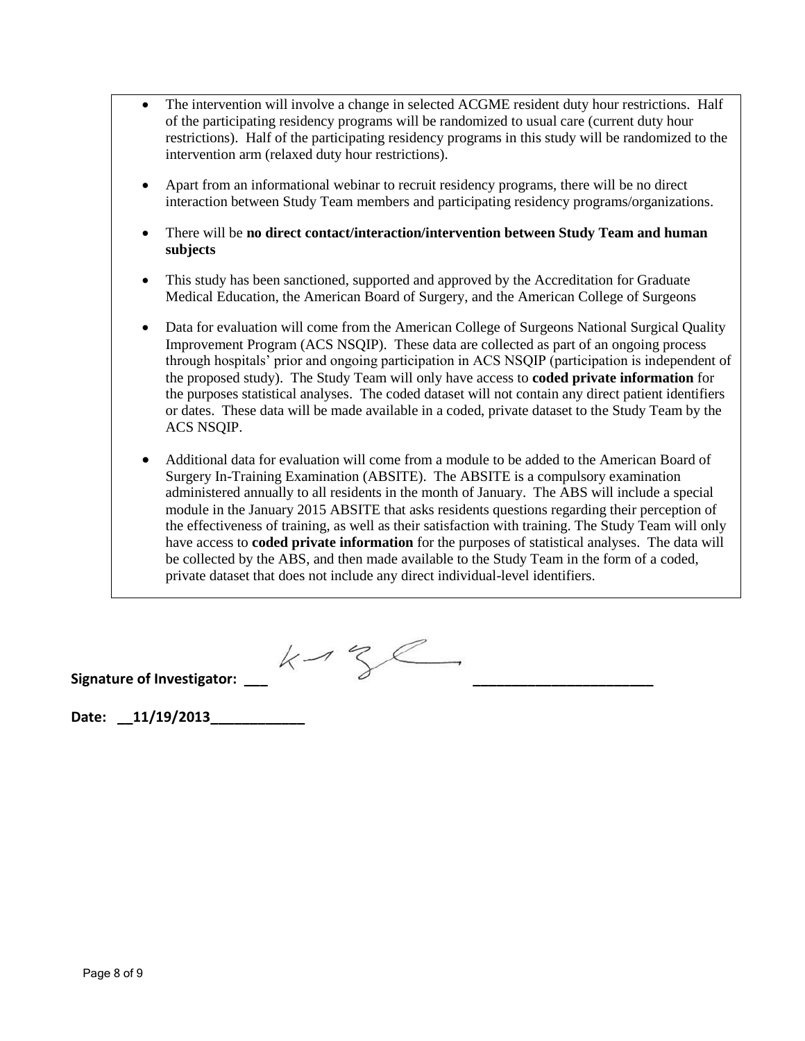- The intervention will involve a change in selected ACGME resident duty hour restrictions. Half of the participating residency programs will be randomized to usual care (current duty hour restrictions). Half of the participating residency programs in this study will be randomized to the intervention arm (relaxed duty hour restrictions).
- Apart from an informational webinar to recruit residency programs, there will be no direct interaction between Study Team members and participating residency programs/organizations.
- There will be **no direct contact/interaction/intervention between Study Team and human subjects**
- This study has been sanctioned, supported and approved by the Accreditation for Graduate Medical Education, the American Board of Surgery, and the American College of Surgeons
- Data for evaluation will come from the American College of Surgeons National Surgical Quality Improvement Program (ACS NSQIP). These data are collected as part of an ongoing process through hospitals' prior and ongoing participation in ACS NSQIP (participation is independent of the proposed study). The Study Team will only have access to **coded private information** for the purposes statistical analyses. The coded dataset will not contain any direct patient identifiers or dates. These data will be made available in a coded, private dataset to the Study Team by the ACS NSQIP.
- Additional data for evaluation will come from a module to be added to the American Board of Surgery In-Training Examination (ABSITE). The ABSITE is a compulsory examination administered annually to all residents in the month of January. The ABS will include a special module in the January 2015 ABSITE that asks residents questions regarding their perception of the effectiveness of training, as well as their satisfaction with training. The Study Team will only have access to **coded private information** for the purposes of statistical analyses. The data will be collected by the ABS, and then made available to the Study Team in the form of a coded, private dataset that does not include any direct individual-level identifiers.

 $S$  Signature of Investigator: \_\_\_\_  $\swarrow \rightarrow \searrow \swarrow$ 

**Date: \_\_11/19/2013\_\_\_\_\_\_\_\_\_\_\_\_**